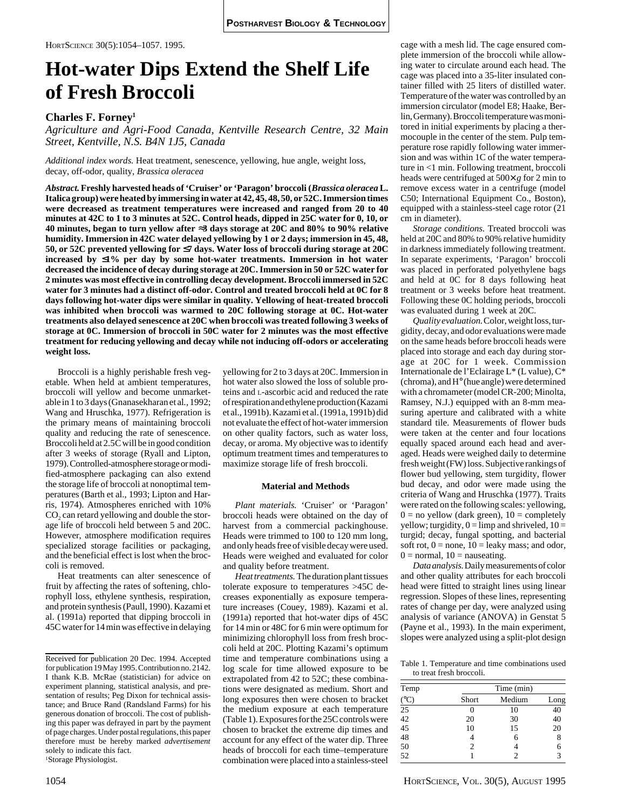HORTSCIENCE 30(5):1054–1057. 1995.

# **Hot-water Dips Extend the Shelf Life of Fresh Broccoli**

# **Charles F. Forney1**

*Agriculture and Agri-Food Canada, Kentville Research Centre, 32 Main Street, Kentville, N.S. B4N 1J5, Canada*

*Additional index words.* Heat treatment, senescence, yellowing, hue angle, weight loss, decay, off-odor, quality, *Brassica oleracea*

*Abstract.* **Freshly harvested heads of 'Cruiser' or 'Paragon' broccoli (***Brassica oleracea* **L. Italica group) were heated by immersing in water at 42, 45, 48, 50, or 52C. Immersion times were decreased as treatment temperatures were increased and ranged from 20 to 40 minutes at 42C to 1 to 3 minutes at 52C. Control heads, dipped in 25C water for 0, 10, or 40 minutes, began to turn yellow after** ≈**3 days storage at 20C and 80% to 90% relative humidity. Immersion in 42C water delayed yellowing by 1 or 2 days; immersion in 45, 48, 50, or 52C prevented yellowing for** ≤**7 days. Water loss of broccoli during storage at 20C increased by** ≤**1% per day by some hot-water treatments. Immersion in hot water decreased the incidence of decay during storage at 20C. Immersion in 50 or 52C water for 2 minutes was most effective in controlling decay development. Broccoli immersed in 52C water for 3 minutes had a distinct off-odor. Control and treated broccoli held at 0C for 8 days following hot-water dips were similar in quality. Yellowing of heat-treated broccoli was inhibited when broccoli was warmed to 20C following storage at 0C. Hot-water treatments also delayed senescence at 20C when broccoli was treated following 3 weeks of storage at 0C. Immersion of broccoli in 50C water for 2 minutes was the most effective treatment for reducing yellowing and decay while not inducing off-odors or accelerating weight loss.**

Broccoli is a highly perishable fresh vegetable. When held at ambient temperatures, broccoli will yellow and become unmarketable in 1 to 3 days (Gnanasekharan et al*.,* 1992; Wang and Hruschka, 1977). Refrigeration is the primary means of maintaining broccoli quality and reducing the rate of senescence. Broccoli held at 2.5C will be in good condition after 3 weeks of storage (Ryall and Lipton, 1979). Controlled-atmosphere storage or modified-atmosphere packaging can also extend the storage life of broccoli at nonoptimal temperatures (Barth et al., 1993; Lipton and Harris, 1974). Atmospheres enriched with 10%  $CO<sub>2</sub>$  can retard yellowing and double the storage life of broccoli held between 5 and 20C. However, atmosphere modification requires specialized storage facilities or packaging, and the beneficial effect is lost when the broccoli is removed.

Heat treatments can alter senescence of fruit by affecting the rates of softening, chlorophyll loss, ethylene synthesis, respiration, and protein synthesis (Paull, 1990). Kazami et al. (1991a) reported that dipping broccoli in 45C water for 14 min was effective in delaying

yellowing for 2 to 3 days at 20C. Immersion in hot water also slowed the loss of soluble proteins and L-ascorbic acid and reduced the rate of respiration and ethylene production (Kazami et al., 1991b). Kazami et al. (1991a, 1991b) did not evaluate the effect of hot-water immersion on other quality factors, such as water loss, decay, or aroma. My objective was to identify optimum treatment times and temperatures to maximize storage life of fresh broccoli.

### **Material and Methods**

*Plant materials.* 'Cruiser' or 'Paragon' broccoli heads were obtained on the day of harvest from a commercial packinghouse. Heads were trimmed to 100 to 120 mm long, and only heads free of visible decay were used. Heads were weighed and evaluated for color and quality before treatment.

*Heat treatments.* The duration plant tissues tolerate exposure to temperatures >45C decreases exponentially as exposure temperature increases (Couey, 1989). Kazami et al. (1991a) reported that hot-water dips of 45C for 14 min or 48C for 6 min were optimum for minimizing chlorophyll loss from fresh broccoli held at 20C. Plotting Kazami's optimum time and temperature combinations using a log scale for time allowed exposure to be extrapolated from 42 to 52C; these combinations were designated as medium. Short and long exposures then were chosen to bracket the medium exposure at each temperature (Table 1). Exposures for the 25C controls were chosen to bracket the extreme dip times and account for any effect of the water dip. Three heads of broccoli for each time–temperature combination were placed into a stainless-steel

cage with a mesh lid. The cage ensured complete immersion of the broccoli while allowing water to circulate around each head. The cage was placed into a 35-liter insulated container filled with 25 liters of distilled water. Temperature of the water was controlled by an immersion circulator (model E8; Haake, Berlin, Germany). Broccoli temperature was monitored in initial experiments by placing a thermocouple in the center of the stem. Pulp temperature rose rapidly following water immersion and was within 1C of the water temperature in <1 min. Following treatment, broccoli heads were centrifuged at 500× *g* for 2 min to remove excess water in a centrifuge (model C50; International Equipment Co., Boston), equipped with a stainless-steel cage rotor (21 cm in diameter).

*Storage conditions.* Treated broccoli was held at 20C and 80% to 90% relative humidity in darkness immediately following treatment. In separate experiments, 'Paragon' broccoli was placed in perforated polyethylene bags and held at 0C for 8 days following heat treatment or 3 weeks before heat treatment. Following these 0C holding periods, broccoli was evaluated during 1 week at 20C.

*Quality evaluation.* Color, weight loss, turgidity, decay, and odor evaluations were made on the same heads before broccoli heads were placed into storage and each day during storage at 20C for 1 week. Commission Internationale de l'Eclairage L\* (L value), C\* (chroma), and H° (hue angle) were determined with a chromameter (model CR-200; Minolta, Ramsey, N.J.) equipped with an 8-mm measuring aperture and calibrated with a white standard tile. Measurements of flower buds were taken at the center and four locations equally spaced around each head and averaged. Heads were weighed daily to determine fresh weight (FW) loss. Subjective rankings of flower bud yellowing, stem turgidity, flower bud decay, and odor were made using the criteria of Wang and Hruschka (1977). Traits were rated on the following scales: yellowing,  $0 =$  no yellow (dark green),  $10 =$  completely yellow; turgidity,  $0 =$  limp and shriveled,  $10 =$ turgid; decay, fungal spotting, and bacterial soft rot,  $0 =$  none,  $10 =$  leaky mass; and odor,  $0 =$  normal,  $10 =$  nauseating.

*Data analysis.* Daily measurements of color and other quality attributes for each broccoli head were fitted to straight lines using linear regression. Slopes of these lines, representing rates of change per day, were analyzed using analysis of variance (ANOVA) in Genstat 5 (Payne et al., 1993). In the main experiment, slopes were analyzed using a split-plot design

Table 1. Temperature and time combinations used to treat fresh broccoli.

| Temp                     | Time (min)     |        |            |  |  |  |  |
|--------------------------|----------------|--------|------------|--|--|--|--|
| $\frac{(^{\circ}C)}{25}$ | Short          | Medium | Long<br>40 |  |  |  |  |
|                          |                | 10     |            |  |  |  |  |
| $42$<br>$45$             | 20             | 30     | 40         |  |  |  |  |
|                          | 10             | 15     | 20         |  |  |  |  |
| 48                       | 4              | 6      | 8          |  |  |  |  |
| 50                       | $\overline{c}$ |        | 6          |  |  |  |  |
| 52                       |                | 2      | 3          |  |  |  |  |

Received for publication 20 Dec. 1994. Accepted for publication 19 May 1995. Contribution no. 2142. I thank K.B. McRae (statistician) for advice on experiment planning, statistical analysis, and presentation of results; Peg Dixon for technical assistance; and Bruce Rand (Randsland Farms) for his generous donation of broccoli. The cost of publishing this paper was defrayed in part by the payment of page charges. Under postal regulations, this paper therefore must be hereby marked *advertisement* solely to indicate this fact. 1 Storage Physiologist.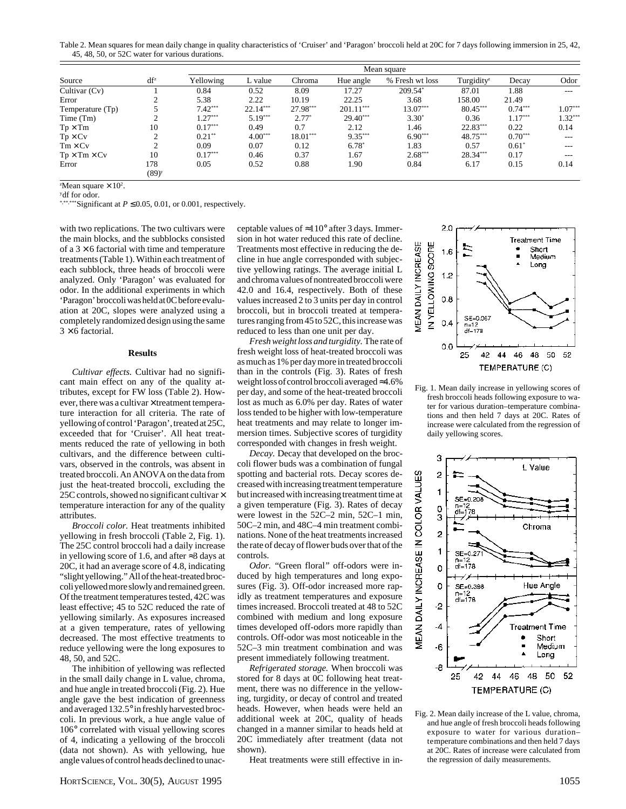Table 2. Mean squares for mean daily change in quality characteristics of 'Cruiser' and 'Paragon' broccoli held at 20C for 7 days following immersion in 25, 42, 45, 48, 50, or 52C water for various durations.

| Source                   | $df^z$                     | Mean square |            |            |             |                 |                        |           |           |
|--------------------------|----------------------------|-------------|------------|------------|-------------|-----------------|------------------------|-----------|-----------|
|                          |                            | Yellowing   | L value    | Chroma     | Hue angle   | % Fresh wt loss | Turgidity <sup>z</sup> | Decay     | Odor      |
| Cultivar (Cv)            |                            | 0.84        | 0.52       | 8.09       | 17.27       | $209.54*$       | 87.01                  | 1.88      | ---       |
| Error                    |                            | 5.38        | 2.22       | 10.19      | 22.25       | 3.68            | 158.00                 | 21.49     |           |
| Temperature (Tp)         |                            | $7.42***$   | $22.14***$ | 27.98***   | $201.11***$ | 13.07***        | $80.45***$             | $0.74***$ | $1.07***$ |
| Time (Tm)                |                            | $1.27***$   | $5.19***$  | $2.77*$    | $29.40***$  | $3.30*$         | 0.36                   | $1.17***$ | $1.32***$ |
| $Tp \times Tm$           | 10                         | $0.17***$   | 0.49       | 0.7        | 2.12        | 1.46            | $22.83***$             | 0.22      | 0.14      |
| $Tp \times Cv$           |                            | $0.21**$    | $4.00***$  | $18.01***$ | $9.35***$   | $6.90***$       | 48.75***               | $0.70***$ | $- - -$   |
| $Tm \times Cv$           |                            | 0.09        | 0.07       | 0.12       | $6.78*$     | 1.83            | 0.57                   | $0.61*$   | ---       |
| $Tp \times Tm \times Cv$ | 10                         | $0.17***$   | 0.46       | 0.37       | 1.67        | $2.68***$       | $28.34***$             | 0.17      | ---       |
| Error                    | 178<br>$(89)$ <sup>y</sup> | 0.05        | 0.52       | 0.88       | 1.90        | 0.84            | 6.17                   | 0.15      | 0.14      |

<sup>z</sup>Mean square  $\times 10^2$ .

ydf for odor.

\*,\*\*,\*\*\*Significant at *P* ≤ 0.05, 0.01, or 0.001, respectively.

with two replications. The two cultivars were the main blocks, and the subblocks consisted of a  $3 \times 6$  factorial with time and temperature treatments (Table 1). Within each treatment of each subblock, three heads of broccoli were analyzed. Only 'Paragon' was evaluated for odor. In the additional experiments in which 'Paragon' broccoli was held at 0C before evaluation at 20C, slopes were analyzed using a completely randomized design using the same  $3 \times 6$  factorial.

# **Results**

*Cultivar effects.* Cultivar had no significant main effect on any of the quality attributes, except for FW loss (Table 2). However, there was a cultivar  $\times$  treatment temperature interaction for all criteria. The rate of yellowing of control 'Paragon', treated at 25C, exceeded that for 'Cruiser'. All heat treatments reduced the rate of yellowing in both cultivars, and the difference between cultivars, observed in the controls, was absent in treated broccoli. An ANOVA on the data from just the heat-treated broccoli, excluding the 25C controls, showed no significant cultivar  $\times$ temperature interaction for any of the quality attributes.

*Broccoli color.* Heat treatments inhibited yellowing in fresh broccoli (Table 2, Fig. 1). The 25C control broccoli had a daily increase in yellowing score of 1.6, and after ≈3 days at 20C, it had an average score of 4.8, indicating "slight yellowing." All of the heat-treated broccoli yellowed more slowly and remained green. Of the treatment temperatures tested, 42C was least effective; 45 to 52C reduced the rate of yellowing similarly. As exposures increased at a given temperature, rates of yellowing decreased. The most effective treatments to reduce yellowing were the long exposures to 48, 50, and 52C.

The inhibition of yellowing was reflected in the small daily change in L value, chroma, and hue angle in treated broccoli (Fig. 2). Hue angle gave the best indication of greenness and averaged 132.5° in freshly harvested broccoli. In previous work, a hue angle value of 106° correlated with visual yellowing scores of 4, indicating a yellowing of the broccoli (data not shown). As with yellowing, hue angle values of control heads declined to unacceptable values of  $\approx$ 110° after 3 days. Immersion in hot water reduced this rate of decline. Treatments most effective in reducing the decline in hue angle corresponded with subjective yellowing ratings. The average initial L and chroma values of nontreated broccoli were 42.0 and 16.4, respectively. Both of these values increased 2 to 3 units per day in control broccoli, but in broccoli treated at temperatures ranging from 45 to 52C, this increase was reduced to less than one unit per day.

*Fresh weight loss and turgidity.* The rate of fresh weight loss of heat-treated broccoli was as much as 1% per day more in treated broccoli than in the controls (Fig. 3). Rates of fresh weight loss of control broccoli averaged ≈4.6% per day, and some of the heat-treated broccoli lost as much as 6.0% per day. Rates of water loss tended to be higher with low-temperature heat treatments and may relate to longer immersion times. Subjective scores of turgidity corresponded with changes in fresh weight.

*Decay.* Decay that developed on the broccoli flower buds was a combination of fungal spotting and bacterial rots. Decay scores decreased with increasing treatment temperature but increased with increasing treatment time at a given temperature (Fig. 3). Rates of decay were lowest in the 52C–2 min, 52C–1 min, 50C–2 min, and 48C–4 min treatment combinations. None of the heat treatments increased the rate of decay of flower buds over that of the controls.

*Odor.* "Green floral*"* off-odors were induced by high temperatures and long exposures (Fig. 3). Off-odor increased more rapidly as treatment temperatures and exposure times increased. Broccoli treated at 48 to 52C combined with medium and long exposure times developed off-odors more rapidly than controls. Off-odor was most noticeable in the 52C–3 min treatment combination and was present immediately following treatment.

*Refrigerated storage.* When broccoli was stored for 8 days at 0C following heat treatment, there was no difference in the yellowing, turgidity, or decay of control and treated heads. However, when heads were held an additional week at 20C, quality of heads changed in a manner similar to heads held at 20C immediately after treatment (data not shown).

Heat treatments were still effective in in-



Fig. 1. Mean daily increase in yellowing scores of fresh broccoli heads following exposure to water for various duration–temperature combinations and then held 7 days at 20C. Rates of increase were calculated from the regression of daily yellowing scores.



Fig. 2. Mean daily increase of the L value, chroma, and hue angle of fresh broccoli heads following exposure to water for various duration– temperature combinations and then held 7 days at 20C. Rates of increase were calculated from the regression of daily measurements.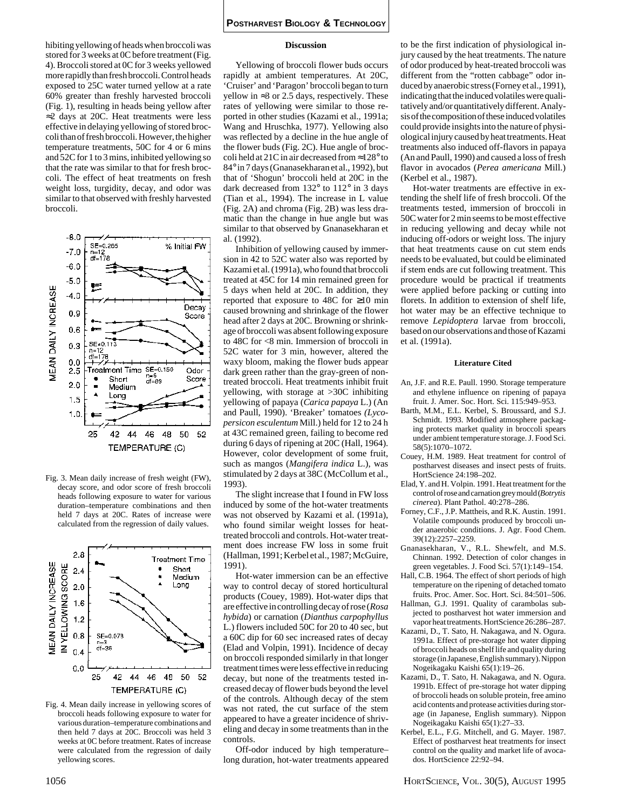hibiting yellowing of heads when broccoli was stored for 3 weeks at 0C before treatment (Fig. 4). Broccoli stored at 0C for 3 weeks yellowed more rapidly than fresh broccoli. Control heads exposed to 25C water turned yellow at a rate 60% greater than freshly harvested broccoli (Fig. 1), resulting in heads being yellow after ≈2 days at 20C. Heat treatments were less effective in delaying yellowing of stored broccoli than of fresh broccoli. However, the higher temperature treatments, 50C for 4 or 6 mins and 52C for 1 to 3 mins, inhibited yellowing so that the rate was similar to that for fresh broccoli. The effect of heat treatments on fresh weight loss, turgidity, decay, and odor was similar to that observed with freshly harvested broccoli.



Fig. 3. Mean daily increase of fresh weight (FW), decay score, and odor score of fresh broccoli heads following exposure to water for various duration–temperature combinations and then held 7 days at 20C. Rates of increase were calculated from the regression of daily values.



Fig. 4. Mean daily increase in yellowing scores of broccoli heads following exposure to water for various duration–temperature combinations and then held 7 days at 20C. Broccoli was held 3 weeks at 0C before treatment. Rates of increase were calculated from the regression of daily yellowing scores.

### **Discussion**

Yellowing of broccoli flower buds occurs rapidly at ambient temperatures. At 20C, 'Cruiser' and 'Paragon' broccoli began to turn yellow in ≈3 or 2.5 days, respectively. These rates of yellowing were similar to those reported in other studies (Kazami et al., 1991a; Wang and Hruschka, 1977). Yellowing also was reflected by a decline in the hue angle of the flower buds (Fig. 2C). Hue angle of broccoli held at 21C in air decreased from ≈128° to 84° in 7 days (Gnanasekharan et al., 1992), but that of 'Shogun' broccoli held at 20C in the dark decreased from 132° to 112° in 3 days (Tian et al*.*, 1994). The increase in L value (Fig. 2A) and chroma (Fig. 2B) was less dramatic than the change in hue angle but was similar to that observed by Gnanasekharan et al. (1992).

Inhibition of yellowing caused by immersion in 42 to 52C water also was reported by Kazami et al. (1991a), who found that broccoli treated at 45C for 14 min remained green for 5 days when held at 20C. In addition, they reported that exposure to 48C for ≥10 min caused browning and shrinkage of the flower head after 2 days at 20C. Browning or shrinkage of broccoli was absent following exposure to 48C for <8 min. Immersion of broccoli in 52C water for 3 min, however, altered the waxy bloom, making the flower buds appear dark green rather than the gray-green of nontreated broccoli. Heat treatments inhibit fruit yellowing, with storage at >30C inhibiting yellowing of papaya (*Carica papaya* L.) (An and Paull, 1990). 'Breaker' tomatoes *(Lycopersicon esculentum* Mill.) held for 12 to 24 h at 43C remained green, failing to become red during 6 days of ripening at 20C (Hall, 1964). However, color development of some fruit, such as mangos (*Mangifera indica* L.), was stimulated by 2 days at 38C (McCollum et al., 1993).

The slight increase that I found in FW loss induced by some of the hot-water treatments was not observed by Kazami et al. (1991a), who found similar weight losses for heattreated broccoli and controls. Hot-water treatment does increase FW loss in some fruit (Hallman, 1991; Kerbel et al., 1987; McGuire, 1991).

Hot-water immersion can be an effective way to control decay of stored horticultural products (Couey, 1989). Hot-water dips that are effective in controlling decay of rose (*Rosa hybida*) or carnation (*Dianthus carpophyllus* L.) flowers included 50C for 20 to 40 sec, but a 60C dip for 60 sec increased rates of decay (Elad and Volpin, 1991). Incidence of decay on broccoli responded similarly in that longer treatment times were less effective in reducing decay, but none of the treatments tested increased decay of flower buds beyond the level of the controls. Although decay of the stem was not rated, the cut surface of the stem appeared to have a greater incidence of shriveling and decay in some treatments than in the controls.

Off-odor induced by high temperature– long duration, hot-water treatments appeared to be the first indication of physiological injury caused by the heat treatments. The nature of odor produced by heat-treated broccoli was different from the "rotten cabbage" odor induced by anaerobic stress (Forney et al., 1991), indicating that the induced volatiles were qualitatively and/or quantitatively different. Analysis of the composition of these induced volatiles could provide insights into the nature of physiological injury caused by heat treatments. Heat treatments also induced off-flavors in papaya (An and Paull, 1990) and caused a loss of fresh flavor in avocados (*Perea americana* Mill.) (Kerbel et al., 1987).

Hot-water treatments are effective in extending the shelf life of fresh broccoli. Of the treatments tested, immersion of broccoli in 50C water for 2 min seems to be most effective in reducing yellowing and decay while not inducing off-odors or weight loss. The injury that heat treatments cause on cut stem ends needs to be evaluated, but could be eliminated if stem ends are cut following treatment. This procedure would be practical if treatments were applied before packing or cutting into florets. In addition to extension of shelf life, hot water may be an effective technique to remove *Lepidoptera* larvae from broccoli, based on our observations and those of Kazami et al. (1991a).

## **Literature Cited**

- An, J.F. and R.E. Paull. 1990. Storage temperature and ethylene influence on ripening of papaya fruit. J. Amer. Soc. Hort. Sci. 115:949–953.
- Barth, M.M., E.L. Kerbel, S. Broussard, and S.J. Schmidt. 1993. Modified atmosphere packaging protects market quality in broccoli spears under ambient temperature storage. J. Food Sci. 58(5):1070–1072.
- Couey, H.M. 1989. Heat treatment for control of postharvest diseases and insect pests of fruits. HortScience 24:198–202.
- Elad, Y. and H. Volpin. 1991. Heat treatment for the control of rose and carnation grey mould (*Botrytis cinerea*). Plant Pathol. 40:278–286.
- Forney, C.F., J.P. Mattheis, and R.K. Austin. 1991. Volatile compounds produced by broccoli under anaerobic conditions. J. Agr. Food Chem. 39(12):2257–2259.
- Gnanasekharan, V., R.L. Shewfelt, and M.S. Chinnan. 1992. Detection of color changes in green vegetables. J. Food Sci. 57(1):149–154.
- Hall, C.B. 1964. The effect of short periods of high temperature on the ripening of detached tomato fruits. Proc. Amer. Soc. Hort. Sci. 84:501–506. Hallman, G.J. 1991. Quality of carambolas sub-
- jected to postharvest hot water immersion and vapor heat treatments. HortScience 26:286–287.
- Kazami, D., T. Sato, H. Nakagawa, and N. Ogura. 1991a. Effect of pre-storage hot water dipping of broccoli heads on shelf life and quality during storage (in Japanese, English summary). Nippon Nogeikagaku Kaishi 65(1):19–26.
- Kazami, D., T. Sato, H. Nakagawa, and N. Ogura. 1991b. Effect of pre-storage hot water dipping of broccoli heads on soluble protein, free amino acid contents and protease activities during storage (in Japanese, English summary). Nippon Nogeikagaku Kaishi 65(1):27–33.
- Kerbel, E.L., F.G. Mitchell, and G. Mayer. 1987. Effect of postharvest heat treatments for insect control on the quality and market life of avocados. HortScience 22:92–94.